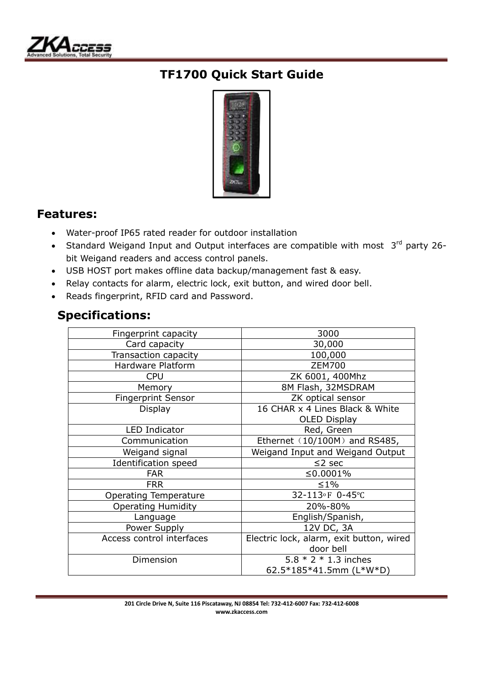

## **TF1700 Quick Start Guide**



### **Features:**

- Water-proof IP65 rated reader for outdoor installation
- Standard Weigand Input and Output interfaces are compatible with most  $3<sup>rd</sup>$  party 26bit Weigand readers and access control panels.
- USB HOST port makes offline data backup/management fast & easy.
- Relay contacts for alarm, electric lock, exit button, and wired door bell.
- Reads fingerprint, RFID card and Password.

## **Specifications:**

| Fingerprint capacity         | 3000                                                   |  |
|------------------------------|--------------------------------------------------------|--|
| Card capacity                | 30,000                                                 |  |
| Transaction capacity         | 100,000                                                |  |
| Hardware Platform            | <b>ZEM700</b>                                          |  |
| <b>CPU</b>                   | ZK 6001, 400Mhz                                        |  |
| Memory                       | 8M Flash, 32MSDRAM                                     |  |
| <b>Fingerprint Sensor</b>    | ZK optical sensor                                      |  |
| Display                      | 16 CHAR x 4 Lines Black & White<br><b>OLED Display</b> |  |
| LED Indicator                | Red, Green                                             |  |
| Communication                | Ethernet (10/100M) and RS485,                          |  |
| Weigand signal               | Weigand Input and Weigand Output                       |  |
| Identification speed         | $\leq$ 2 sec                                           |  |
| <b>FAR</b>                   | ≤0.0001%                                               |  |
| <b>FRR</b>                   | $\leq 1\%$                                             |  |
| <b>Operating Temperature</b> | 32-113°F 0-45°C                                        |  |
| <b>Operating Humidity</b>    | 20%-80%                                                |  |
| Language                     | English/Spanish,                                       |  |
| Power Supply                 | 12V DC, 3A                                             |  |
| Access control interfaces    | Electric lock, alarm, exit button, wired               |  |
|                              | door bell                                              |  |
| Dimension                    | $5.8 * 2 * 1.3$ inches                                 |  |
|                              | 62.5*185*41.5mm (L*W*D)                                |  |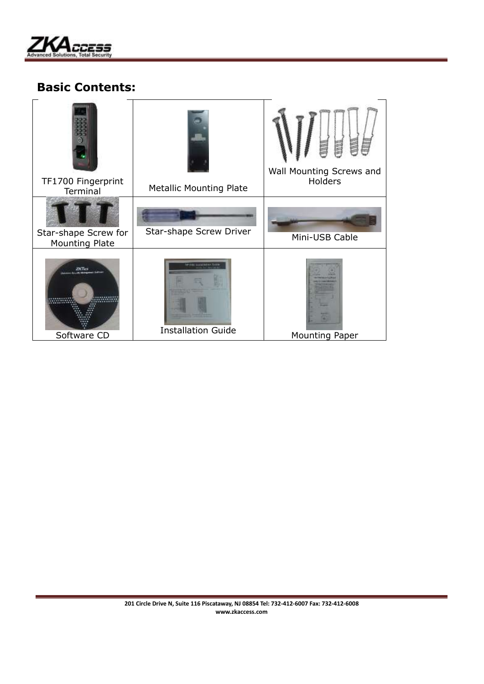

# **Basic Contents:**

| TF1700 Fingerprint<br>Terminal                | <b>Metallic Mounting Plate</b> | Wall Mounting Screws and<br>Holders |
|-----------------------------------------------|--------------------------------|-------------------------------------|
| Star-shape Screw for<br><b>Mounting Plate</b> | Star-shape Screw Driver        | Mini-USB Cable                      |
| Software CD                                   | <b>Installation Guide</b>      | <b>Mounting Paper</b>               |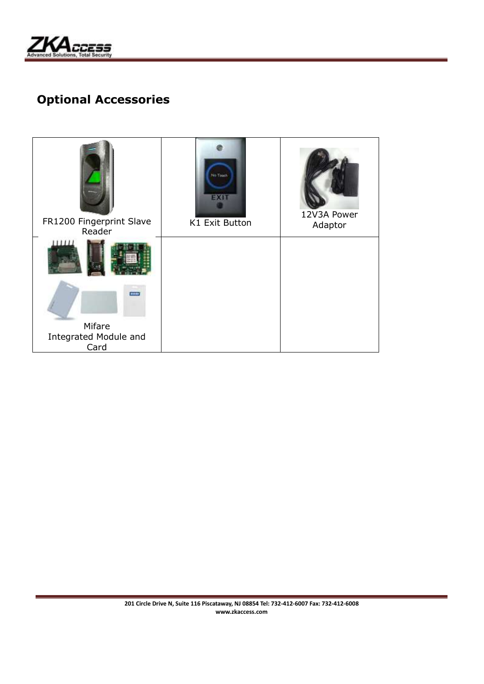

# **Optional Accessories**

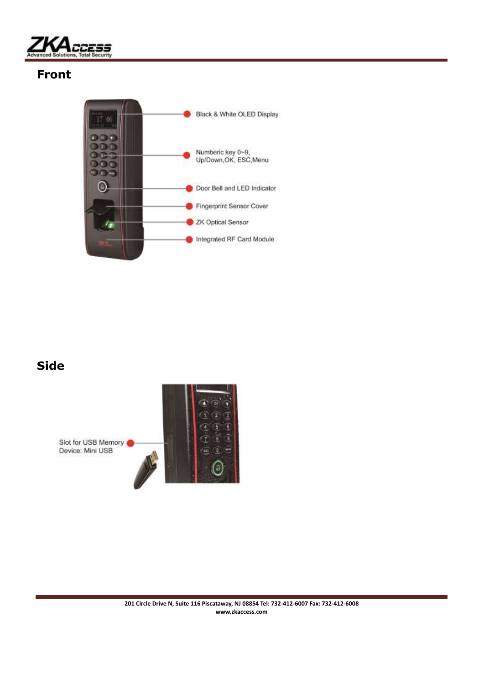

## **Front**



## **Side**

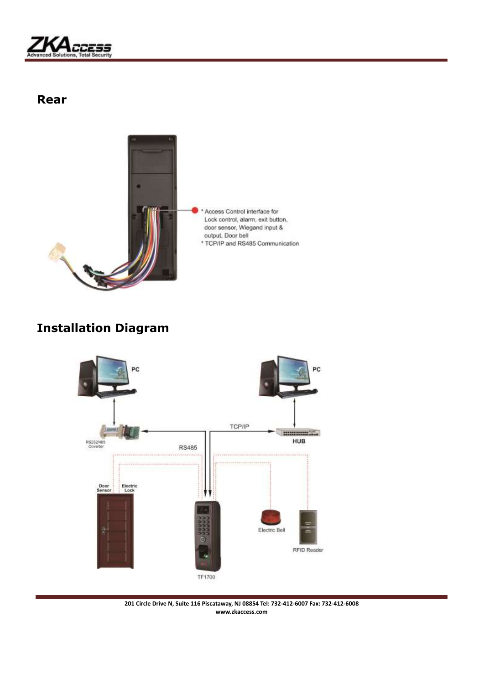

### **Rear**



# **Installation Diagram**



**201 Circle Drive N, Suite 116 Piscataway, NJ 08854 Tel: 732-412-6007 Fax: 732-412-6008 www.zkaccess.com**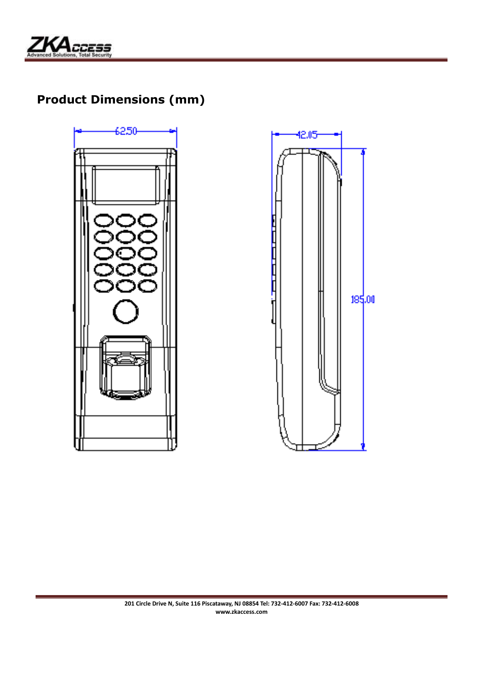

# **Product Dimensions (mm)**



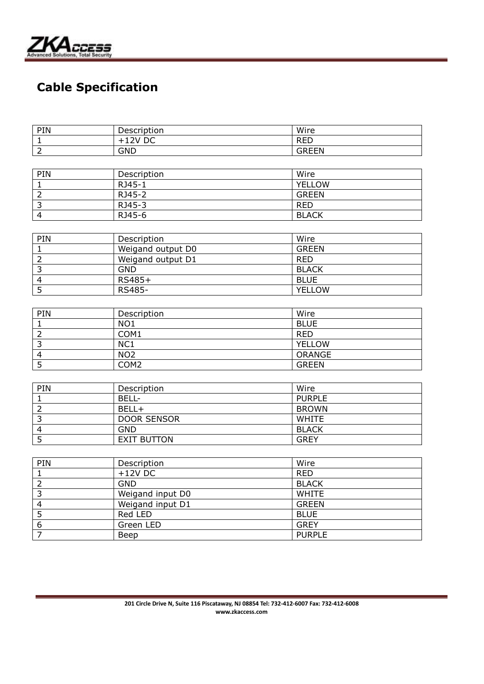

# **Cable Specification**

| PIN                     | Description        | Wire          |
|-------------------------|--------------------|---------------|
| $\mathbf{1}$            | $+12V$ DC          | <b>RED</b>    |
| $\overline{2}$          | <b>GND</b>         | <b>GREEN</b>  |
|                         |                    |               |
| PIN                     | Description        | Wire          |
| $\mathbf{1}$            | RJ45-1             | YELLOW        |
| $\overline{2}$          | RJ45-2             | <b>GREEN</b>  |
| $\overline{3}$          | RJ45-3             | <b>RED</b>    |
| $\overline{4}$          | RJ45-6             | <b>BLACK</b>  |
|                         |                    |               |
| PIN                     | Description        | Wire          |
| $\mathbf{1}$            | Weigand output D0  | <b>GREEN</b>  |
| $\overline{2}$          | Weigand output D1  | <b>RED</b>    |
| $\overline{3}$          | <b>GND</b>         | <b>BLACK</b>  |
| $\overline{4}$          | RS485+             | <b>BLUE</b>   |
| $\overline{5}$          | RS485-             | <b>YELLOW</b> |
|                         |                    |               |
| PIN                     | Description        | Wire          |
| $\mathbf{1}$            | NO1                | <b>BLUE</b>   |
| $\overline{2}$          | COM1               | <b>RED</b>    |
| $\overline{\mathbf{3}}$ | NC1                | <b>YELLOW</b> |
| $\overline{4}$          | NO <sub>2</sub>    | ORANGE        |
| $\overline{5}$          | COM <sub>2</sub>   | <b>GREEN</b>  |
|                         |                    |               |
| PIN                     | Description        | Wire          |
| $\mathbf{1}$            | BELL-              | <b>PURPLE</b> |
| $\overline{2}$          | BELL+              | <b>BROWN</b>  |
| $\overline{3}$          | <b>DOOR SENSOR</b> | <b>WHITE</b>  |
| $\overline{4}$          | <b>GND</b>         | <b>BLACK</b>  |
| $\overline{5}$          | <b>EXIT BUTTON</b> | <b>GREY</b>   |
|                         |                    |               |
| PIN                     | Description        | Wire          |
| $\mathbf{1}$            | $+12V$ DC          | <b>RED</b>    |
| $\overline{2}$          | <b>GND</b>         | <b>BLACK</b>  |
| $\overline{3}$          | Weigand input D0   | <b>WHITE</b>  |
| $\overline{4}$          | Weigand input D1   | <b>GREEN</b>  |
| $\overline{5}$          | Red LED            | <b>BLUE</b>   |
| $\overline{6}$          | Green LED          | <b>GREY</b>   |
| $\overline{7}$          | Beep               | <b>PURPLE</b> |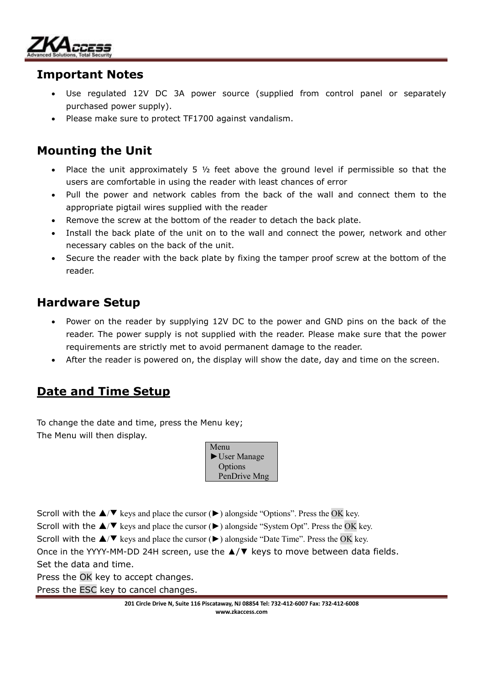

#### **Important Notes**

- Use regulated 12V DC 3A power source (supplied from control panel or separately purchased power supply).
- Please make sure to protect TF1700 against vandalism.

## **Mounting the Unit**

- Place the unit approximately 5  $1/2$  feet above the ground level if permissible so that the users are comfortable in using the reader with least chances of error
- Pull the power and network cables from the back of the wall and connect them to the appropriate pigtail wires supplied with the reader
- Remove the screw at the bottom of the reader to detach the back plate.
- Install the back plate of the unit on to the wall and connect the power, network and other necessary cables on the back of the unit.
- Secure the reader with the back plate by fixing the tamper proof screw at the bottom of the reader.

### **Hardware Setup**

- Power on the reader by supplying 12V DC to the power and GND pins on the back of the reader. The power supply is not supplied with the reader. Please make sure that the power requirements are strictly met to avoid permanent damage to the reader.
- After the reader is powered on, the display will show the date, day and time on the screen.

#### **Date and Time Setup**

To change the date and time, press the Menu key; The Menu will then display.

| Menu                              |
|-----------------------------------|
| $\blacktriangleright$ User Manage |
| Options                           |
| PenDrive Mng                      |
|                                   |

Scroll with the  $\triangle$ / $\nabla$  keys and place the cursor ( $\nabla$ ) alongside "Options". Press the OK key.

Scroll with the  $\triangle/\blacktriangledown$  keys and place the cursor ( $\blacktriangleright$ ) alongside "System Opt". Press the OK key.

Scroll with the  $\triangle/\blacktriangledown$  keys and place the cursor ( $\blacktriangleright$ ) alongside "Date Time". Press the OK key.

Once in the YYYY-MM-DD 24H screen, use the ▲/▼ keys to move between data fields. Set the data and time.

Press the OK key to accept changes.

Press the ESC key to cancel changes.

**201 Circle Drive N, Suite 116 Piscataway, NJ 08854 Tel: 732-412-6007 Fax: 732-412-6008 www.zkaccess.com**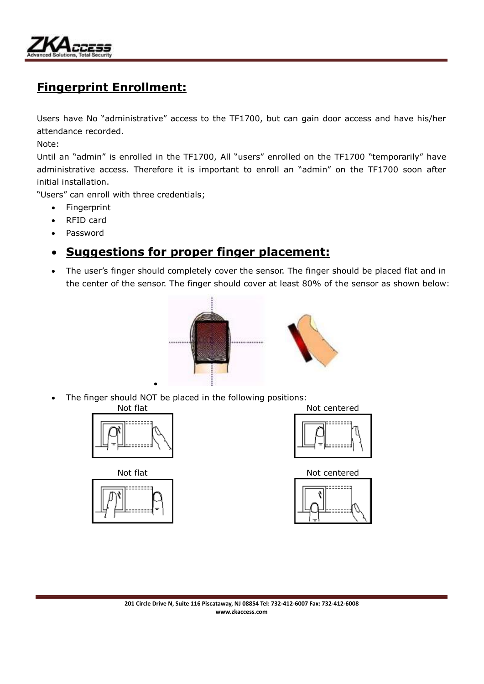

# **Fingerprint Enrollment:**

Users have No "administrative" access to the TF1700, but can gain door access and have his/her attendance recorded.

Note:

Until an "admin" is enrolled in the TF1700, All "users" enrolled on the TF1700 "temporarily" have administrative access. Therefore it is important to enroll an "admin" on the TF1700 soon after initial installation.

"Users" can enroll with three credentials;

- Fingerprint
- RFID card
- Password

## **Suggestions for proper finger placement:**

• The user's finger should completely cover the sensor. The finger should be placed flat and in the center of the sensor. The finger should cover at least 80% of the sensor as shown below:



The finger should NOT be placed in the following positions:

 $\bullet$ 







Not flat Not centered

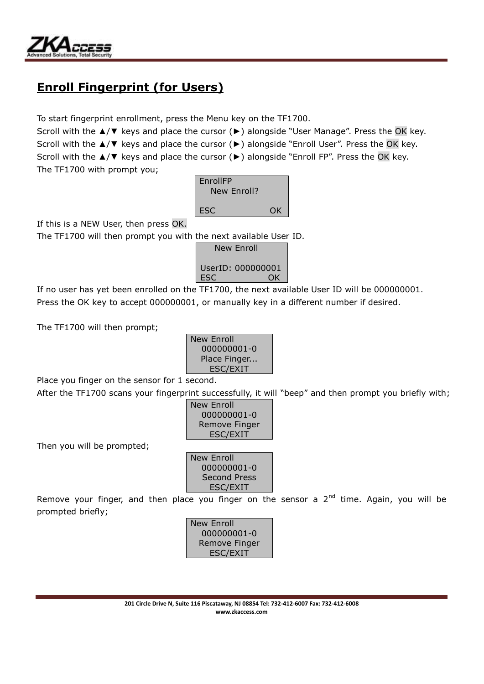

## **Enroll Fingerprint (for Users)**

To start fingerprint enrollment, press the Menu key on the TF1700.

Scroll with the A/V keys and place the cursor (►) alongside "User Manage". Press the OK key. Scroll with the A/V keys and place the cursor (▶) alongside "Enroll User". Press the OK key. Scroll with the A/V keys and place the cursor (▶) alongside "Enroll FP". Press the OK key. The TF1700 with prompt you;



If this is a NEW User, then press OK.

The TF1700 will then prompt you with the next available User ID.

|     | <b>New Enroll</b> |
|-----|-------------------|
|     | UserID: 000000001 |
| ESC | ΩK                |

If no user has yet been enrolled on the TF1700, the next available User ID will be 000000001. Press the OK key to accept 000000001, or manually key in a different number if desired.

The TF1700 will then prompt;



Place you finger on the sensor for 1 second.

After the TF1700 scans your fingerprint successfully, it will "beep" and then prompt you briefly with;

| New Enroll      |
|-----------------|
| 000000001-0     |
| Remove Finger   |
| <b>ESC/EXIT</b> |
|                 |

Then you will be prompted;



Remove your finger, and then place you finger on the sensor a  $2<sup>nd</sup>$  time. Again, you will be prompted briefly;

| New Enroll    |
|---------------|
| 000000001-0   |
| Remove Finger |
| ESC/EXIT      |

**201 Circle Drive N, Suite 116 Piscataway, NJ 08854 Tel: 732-412-6007 Fax: 732-412-6008 www.zkaccess.com**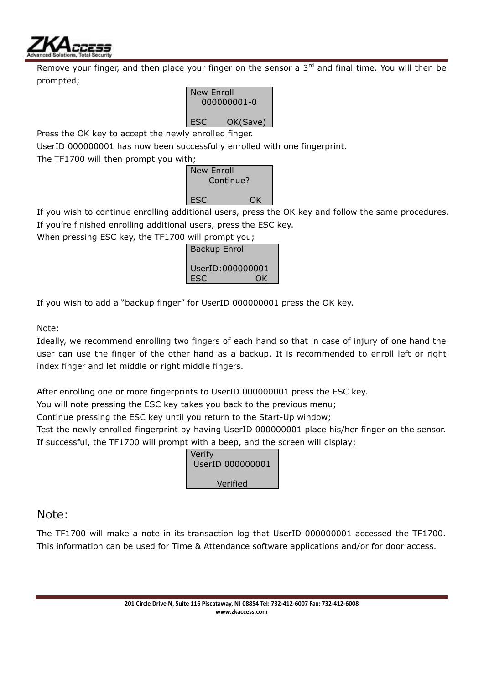

Remove your finger, and then place your finger on the sensor a  $3<sup>rd</sup>$  and final time. You will then be prompted;



Press the OK key to accept the newly enrolled finger.

UserID 000000001 has now been successfully enrolled with one fingerprint.

The TF1700 will then prompt you with;



If you wish to continue enrolling additional users, press the OK key and follow the same procedures. If you're finished enrolling additional users, press the ESC key.

When pressing ESC key, the TF1700 will prompt you;



If you wish to add a "backup finger" for UserID 000000001 press the OK key.

Note:

Ideally, we recommend enrolling two fingers of each hand so that in case of injury of one hand the user can use the finger of the other hand as a backup. It is recommended to enroll left or right index finger and let middle or right middle fingers.

After enrolling one or more fingerprints to UserID 000000001 press the ESC key.

You will note pressing the ESC key takes you back to the previous menu;

Continue pressing the ESC key until you return to the Start-Up window;

Test the newly enrolled fingerprint by having UserID 000000001 place his/her finger on the sensor. If successful, the TF1700 will prompt with a beep, and the screen will display;



#### Note:

The TF1700 will make a note in its transaction log that UserID 000000001 accessed the TF1700. This information can be used for Time & Attendance software applications and/or for door access.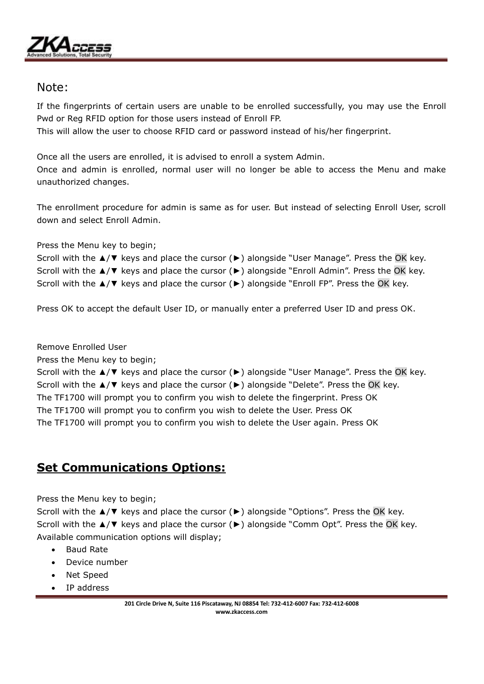

#### Note:

If the fingerprints of certain users are unable to be enrolled successfully, you may use the Enroll Pwd or Reg RFID option for those users instead of Enroll FP.

This will allow the user to choose RFID card or password instead of his/her fingerprint.

Once all the users are enrolled, it is advised to enroll a system Admin. Once and admin is enrolled, normal user will no longer be able to access the Menu and make unauthorized changes.

The enrollment procedure for admin is same as for user. But instead of selecting Enroll User, scroll down and select Enroll Admin.

Press the Menu key to begin;

```
Scroll with the ▲/▼ keys and place the cursor (►) alongside "User Manage". Press the OK key.
Scroll with the ▲/▼ keys and place the cursor (►) alongside "Enroll Admin". Press the OK key.
Scroll with the ▲/▼ keys and place the cursor (►) alongside "Enroll FP". Press the OK key.
```
Press OK to accept the default User ID, or manually enter a preferred User ID and press OK.

Remove Enrolled User

Press the Menu key to begin;

Scroll with the A/V keys and place the cursor (▶) alongside "User Manage". Press the OK key. Scroll with the ▲/▼ keys and place the cursor (►) alongside "Delete". Press the OK key. The TF1700 will prompt you to confirm you wish to delete the fingerprint. Press OK The TF1700 will prompt you to confirm you wish to delete the User. Press OK The TF1700 will prompt you to confirm you wish to delete the User again. Press OK

## **Set Communications Options:**

Press the Menu key to begin;

Scroll with the A/V keys and place the cursor (>) alongside "Options". Press the OK key. Scroll with the ▲/▼ keys and place the cursor (►) alongside "Comm Opt". Press the OK key. Available communication options will display;

- Baud Rate
- Device number
- Net Speed
- IP address